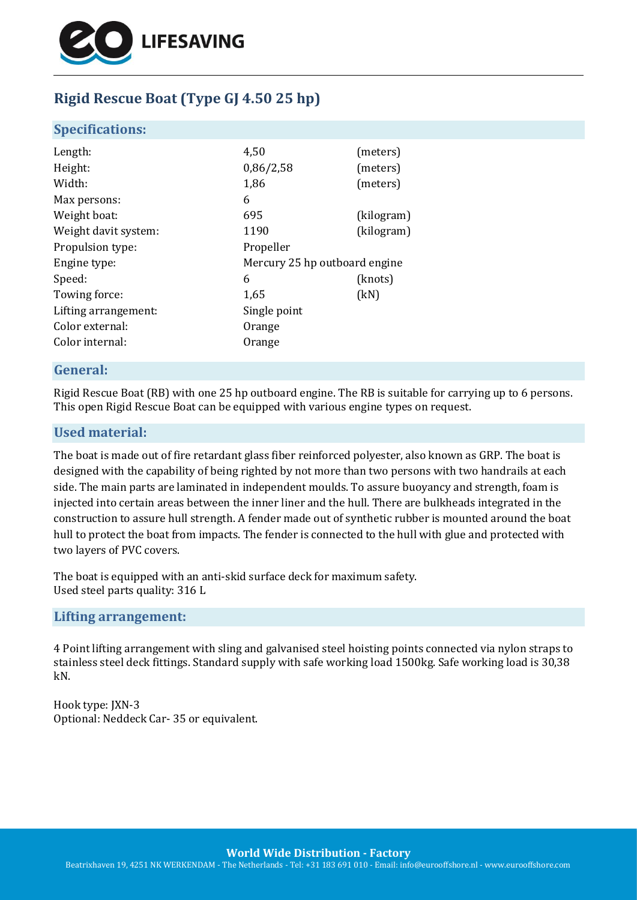

# **Rigid Rescue Boat (Type GJ 4.50 25 hp)**

### **Specifications:**

| Length:              | 4,50                          | (meters)   |
|----------------------|-------------------------------|------------|
| Height:              | 0,86/2,58                     | (meters)   |
| Width:               | 1,86                          | (meters)   |
| Max persons:         | 6                             |            |
| Weight boat:         | 695                           | (kilogram) |
| Weight davit system: | 1190                          | (kilogram) |
| Propulsion type:     | Propeller                     |            |
| Engine type:         | Mercury 25 hp outboard engine |            |
| Speed:               | 6                             | (knots)    |
| Towing force:        | 1,65                          | (kN)       |
| Lifting arrangement: | Single point                  |            |
| Color external:      | Orange                        |            |
| Color internal:      | Orange                        |            |
|                      |                               |            |

# **General:**

Rigid Rescue Boat (RB) with one 25 hp outboard engine. The RB is suitable for carrying up to 6 persons. This open Rigid Rescue Boat can be equipped with various engine types on request.

### **Used material:**

The boat is made out of fire retardant glass fiber reinforced polyester, also known as GRP. The boat is designed with the capability of being righted by not more than two persons with two handrails at each side. The main parts are laminated in independent moulds. To assure buoyancy and strength, foam is injected into certain areas between the inner liner and the hull. There are bulkheads integrated in the construction to assure hull strength. A fender made out of synthetic rubber is mounted around the boat hull to protect the boat from impacts. The fender is connected to the hull with glue and protected with two layers of PVC covers.

The boat is equipped with an anti-skid surface deck for maximum safety. Used steel parts quality: 316 L

#### **Lifting arrangement:**

4 Point lifting arrangement with sling and galvanised steel hoisting points connected via nylon straps to stainless steel deck fittings. Standard supply with safe working load 1500kg. Safe working load is 30,38 kN.

Hook type: JXN-3 Optional: Neddeck Car- 35 or equivalent.

**World Wide Distribution - Factory**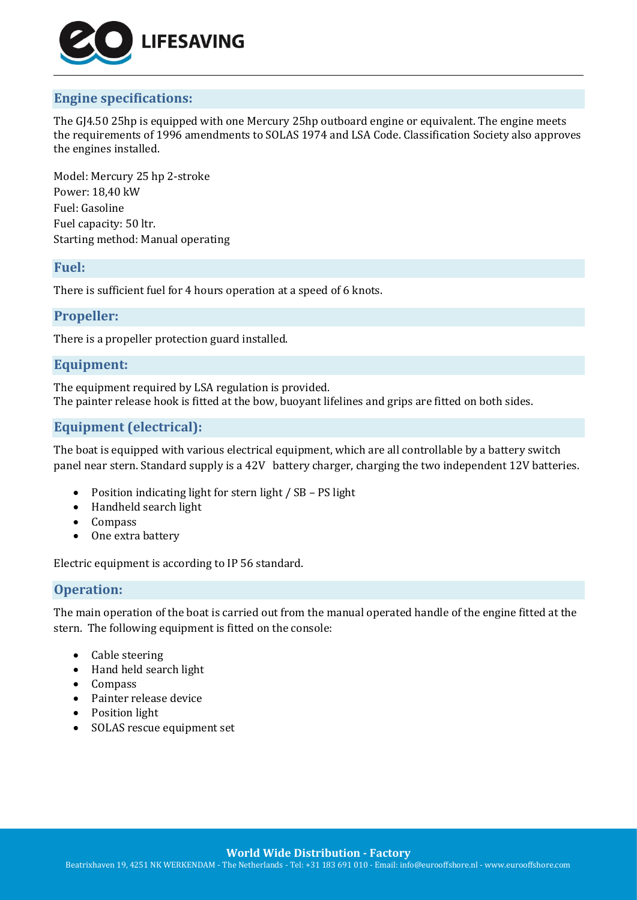

# **Engine specifications:**

The GJ4.50 25hp is equipped with one Mercury 25hp outboard engine or equivalent. The engine meets the requirements of 1996 amendments to SOLAS 1974 and LSA Code. Classification Society also approves the engines installed.

Model: Mercury 25 hp 2-stroke Power: 18,40 kW Fuel: Gasoline Fuel capacity: 50 ltr. Starting method: Manual operating

### **Fuel:**

There is sufficient fuel for 4 hours operation at a speed of 6 knots.

### **Propeller:**

There is a propeller protection guard installed.

# **Equipment:**

The equipment required by LSA regulation is provided. The painter release hook is fitted at the bow, buoyant lifelines and grips are fitted on both sides.

# **Equipment (electrical):**

The boat is equipped with various electrical equipment, which are all controllable by a battery switch panel near stern. Standard supply is a 42V battery charger, charging the two independent 12V batteries.

- Position indicating light for stern light / SB PS light
- Handheld search light
- Compass
- One extra battery

Electric equipment is according to IP 56 standard.

# **Operation:**

The main operation of the boat is carried out from the manual operated handle of the engine fitted at the stern. The following equipment is fitted on the console:

- Cable steering
- Hand held search light
- Compass
- Painter release device
- Position light
- SOLAS rescue equipment set

**World Wide Distribution - Factory**